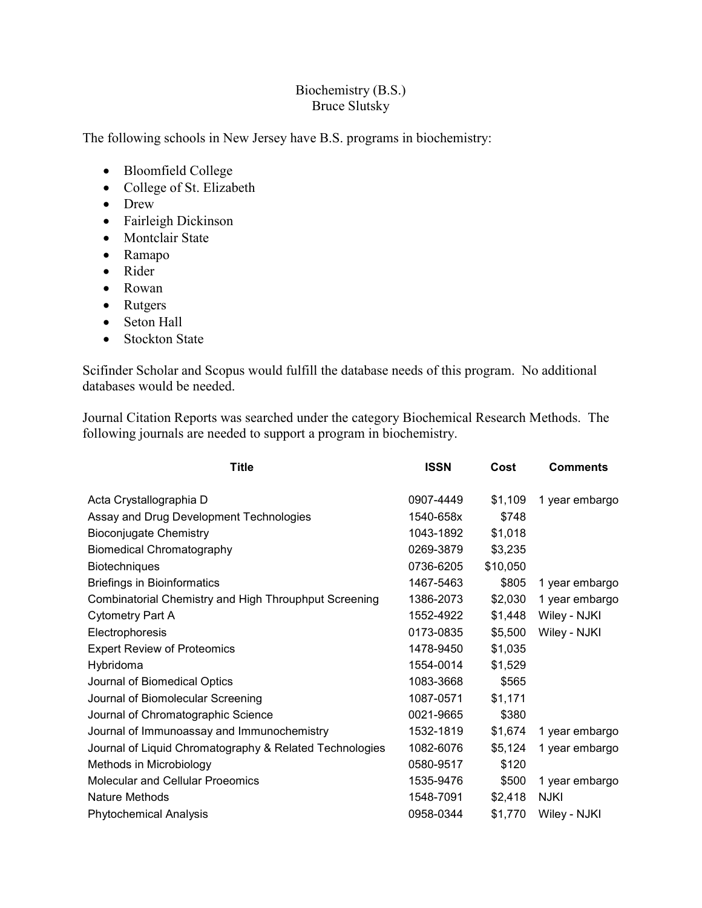## Biochemistry (B.S.) Bruce Slutsky

The following schools in New Jersey have B.S. programs in biochemistry:

- Bloomfield College
- College of St. Elizabeth
- Drew
- Fairleigh Dickinson
- Montclair State
- Ramapo
- Rider
- Rowan
- Rutgers
- Seton Hall
- Stockton State

Scifinder Scholar and Scopus would fulfill the database needs of this program. No additional databases would be needed.

Journal Citation Reports was searched under the category Biochemical Research Methods. The following journals are needed to support a program in biochemistry.

| <b>Title</b>                                            | <b>ISSN</b> | Cost     | <b>Comments</b> |
|---------------------------------------------------------|-------------|----------|-----------------|
| Acta Crystallographia D                                 | 0907-4449   | \$1,109  | 1 year embargo  |
| Assay and Drug Development Technologies                 | 1540-658x   | \$748    |                 |
| <b>Bioconjugate Chemistry</b>                           | 1043-1892   | \$1,018  |                 |
| <b>Biomedical Chromatography</b>                        | 0269-3879   | \$3,235  |                 |
| <b>Biotechniques</b>                                    | 0736-6205   | \$10,050 |                 |
| <b>Briefings in Bioinformatics</b>                      | 1467-5463   | \$805    | 1 year embargo  |
| Combinatorial Chemistry and High Throuphput Screening   | 1386-2073   | \$2,030  | 1 year embargo  |
| Cytometry Part A                                        | 1552-4922   | \$1,448  | Wiley - NJKI    |
| Electrophoresis                                         | 0173-0835   | \$5,500  | Wiley - NJKI    |
| <b>Expert Review of Proteomics</b>                      | 1478-9450   | \$1,035  |                 |
| Hybridoma                                               | 1554-0014   | \$1,529  |                 |
| Journal of Biomedical Optics                            | 1083-3668   | \$565    |                 |
| Journal of Biomolecular Screening                       | 1087-0571   | \$1,171  |                 |
| Journal of Chromatographic Science                      | 0021-9665   | \$380    |                 |
| Journal of Immunoassay and Immunochemistry              | 1532-1819   | \$1,674  | 1 year embargo  |
| Journal of Liquid Chromatography & Related Technologies | 1082-6076   | \$5,124  | 1 year embargo  |
| Methods in Microbiology                                 | 0580-9517   | \$120    |                 |
| <b>Molecular and Cellular Proeomics</b>                 | 1535-9476   | \$500    | 1 year embargo  |
| Nature Methods                                          | 1548-7091   | \$2,418  | <b>NJKI</b>     |
| <b>Phytochemical Analysis</b>                           | 0958-0344   | \$1,770  | Wiley - NJKI    |